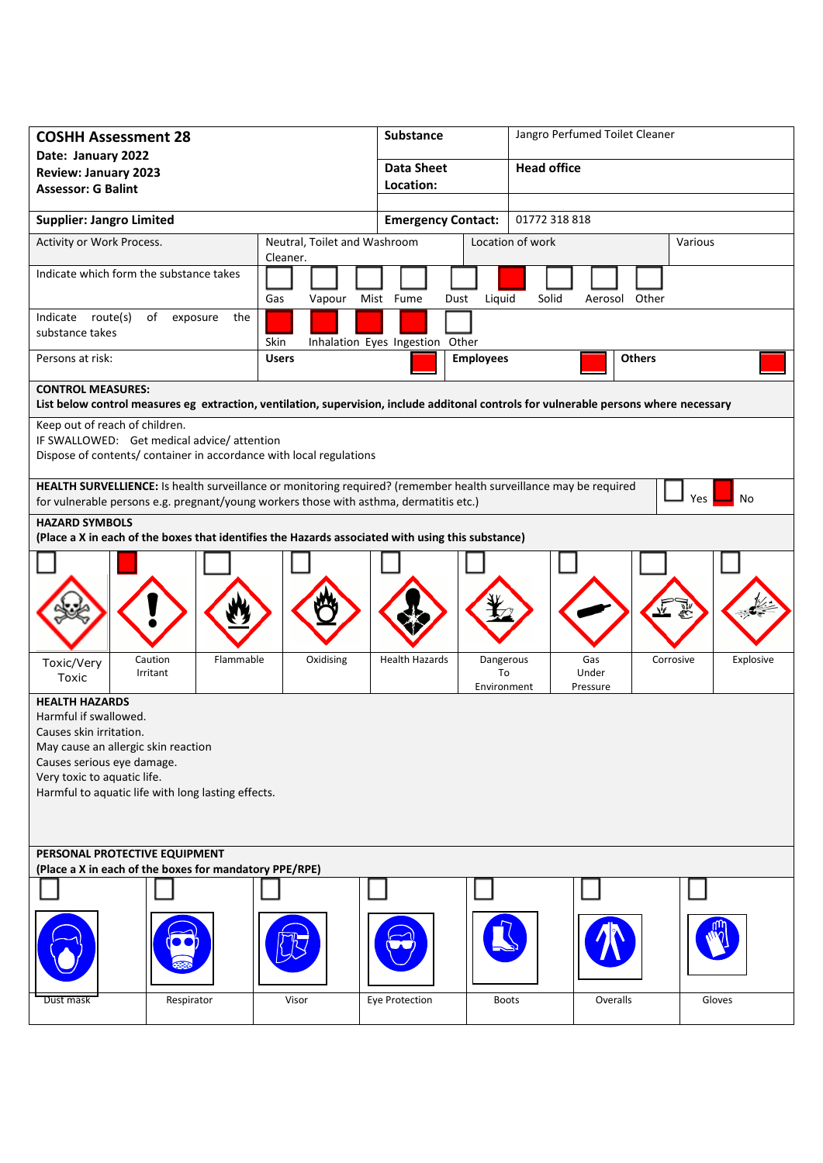| <b>COSHH Assessment 28</b>                                                                                                                                                                                                          |                                          | <b>Substance</b>      |                                                            | Jangro Perfumed Toilet Cleaner |  |  |
|-------------------------------------------------------------------------------------------------------------------------------------------------------------------------------------------------------------------------------------|------------------------------------------|-----------------------|------------------------------------------------------------|--------------------------------|--|--|
| Date: January 2022                                                                                                                                                                                                                  |                                          | <b>Data Sheet</b>     |                                                            | <b>Head office</b>             |  |  |
| <b>Review: January 2023</b><br><b>Assessor: G Balint</b>                                                                                                                                                                            |                                          | Location:             |                                                            |                                |  |  |
|                                                                                                                                                                                                                                     |                                          |                       |                                                            |                                |  |  |
| <b>Supplier: Jangro Limited</b>                                                                                                                                                                                                     |                                          |                       | 01772 318 818<br><b>Emergency Contact:</b>                 |                                |  |  |
| Activity or Work Process.                                                                                                                                                                                                           | Neutral, Toilet and Washroom<br>Cleaner. |                       | Location of work                                           | Various                        |  |  |
| Indicate which form the substance takes                                                                                                                                                                                             | Gas<br>Vapour                            | Mist Fume<br>Dust     | Solid<br>Liquid                                            | Aerosol Other                  |  |  |
| Indicate route(s)<br>of<br>exposure<br>the<br>substance takes<br>Skin<br>Inhalation Eyes Ingestion Other                                                                                                                            |                                          |                       |                                                            |                                |  |  |
| Persons at risk:                                                                                                                                                                                                                    | <b>Users</b>                             | <b>Employees</b>      |                                                            | <b>Others</b>                  |  |  |
| <b>CONTROL MEASURES:</b>                                                                                                                                                                                                            |                                          |                       |                                                            |                                |  |  |
| List below control measures eg extraction, ventilation, supervision, include additonal controls for vulnerable persons where necessary                                                                                              |                                          |                       |                                                            |                                |  |  |
| Keep out of reach of children.<br>IF SWALLOWED: Get medical advice/attention                                                                                                                                                        |                                          |                       |                                                            |                                |  |  |
| Dispose of contents/ container in accordance with local regulations                                                                                                                                                                 |                                          |                       |                                                            |                                |  |  |
| HEALTH SURVELLIENCE: Is health surveillance or monitoring required? (remember health surveillance may be required<br><b>Yes</b><br>No<br>for vulnerable persons e.g. pregnant/young workers those with asthma, dermatitis etc.)     |                                          |                       |                                                            |                                |  |  |
| <b>HAZARD SYMBOLS</b>                                                                                                                                                                                                               |                                          |                       |                                                            |                                |  |  |
| (Place a X in each of the boxes that identifies the Hazards associated with using this substance)                                                                                                                                   |                                          |                       |                                                            |                                |  |  |
|                                                                                                                                                                                                                                     |                                          |                       |                                                            |                                |  |  |
| Caution<br>Flammable<br>Toxic/Very<br>Irritant<br>Toxic                                                                                                                                                                             | Oxidising                                | <b>Health Hazards</b> | Dangerous<br>Gas<br>To<br>Under<br>Environment<br>Pressure | Corrosive<br>Explosive         |  |  |
| <b>HEALTH HAZARDS</b><br>Harmful if swallowed.<br>Causes skin irritation.<br>May cause an allergic skin reaction<br>Causes serious eye damage.<br>Very toxic to aquatic life.<br>Harmful to aquatic life with long lasting effects. |                                          |                       |                                                            |                                |  |  |
| PERSONAL PROTECTIVE EQUIPMENT                                                                                                                                                                                                       |                                          |                       |                                                            |                                |  |  |
| (Place a X in each of the boxes for mandatory PPE/RPE)                                                                                                                                                                              |                                          |                       |                                                            |                                |  |  |
|                                                                                                                                                                                                                                     |                                          |                       |                                                            |                                |  |  |
| Respirator<br>Dust mask                                                                                                                                                                                                             | Visor                                    | Eye Protection        | <b>Boots</b>                                               | Overalls<br>Gloves             |  |  |